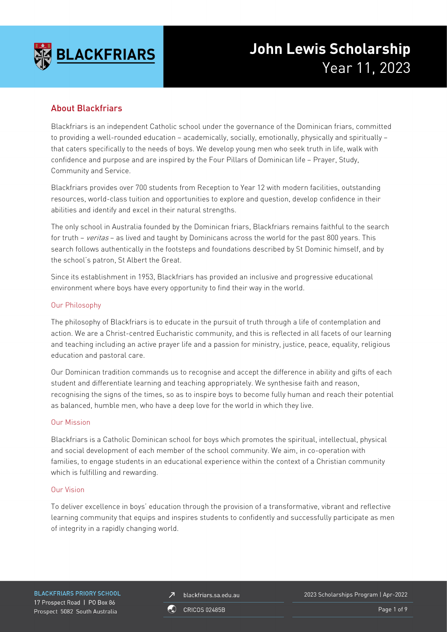

# **John Lewis Scholarship** Year 11, 2023

# About Blackfriars

Blackfriars is an independent Catholic school under the governance of the Dominican friars, committed to providing a well-rounded education – academically, socially, emotionally, physically and spiritually – that caters specifically to the needs of boys. We develop young men who seek truth in life, walk with confidence and purpose and are inspired by the Four Pillars of Dominican life – Prayer, Study, Community and Service.

Blackfriars provides over 700 students from Reception to Year 12 with modern facilities, outstanding resources, world-class tuition and opportunities to explore and question, develop confidence in their abilities and identify and excel in their natural strengths.

The only school in Australia founded by the Dominican friars, Blackfriars remains faithful to the search for truth – veritas – as lived and taught by Dominicans across the world for the past 800 years. This search follows authentically in the footsteps and foundations described by St Dominic himself, and by the school's patron, St Albert the Great.

Since its establishment in 1953, Blackfriars has provided an inclusive and progressive educational environment where boys have every opportunity to find their way in the world.

### Our Philosophy

The philosophy of Blackfriars is to educate in the pursuit of truth through a life of contemplation and action. We are a Christ-centred Eucharistic community, and this is reflected in all facets of our learning and teaching including an active prayer life and a passion for ministry, justice, peace, equality, religious education and pastoral care.

Our Dominican tradition commands us to recognise and accept the difference in ability and gifts of each student and differentiate learning and teaching appropriately. We synthesise faith and reason, recognising the signs of the times, so as to inspire boys to become fully human and reach their potential as balanced, humble men, who have a deep love for the world in which they live.

### Our Mission

Blackfriars is a Catholic Dominican school for boys which promotes the spiritual, intellectual, physical and social development of each member of the school community. We aim, in co-operation with families, to engage students in an educational experience within the context of a Christian community which is fulfilling and rewarding.

### Our Vision

To deliver excellence in boys' education through the provision of a transformative, vibrant and reflective learning community that equips and inspires students to confidently and successfully participate as men of integrity in a rapidly changing world.

**BLACKFRIARS PRIORY SCHOOL** 17 Prospect Road | PO Box 86 Prospect 5082 South Australia

blackfriars.sa.edu.au  $\overline{\mathbf{z}}$ 

2023 Scholarships Program | Apr-2022

**CRICOS 02485B** 

Page 1 of 9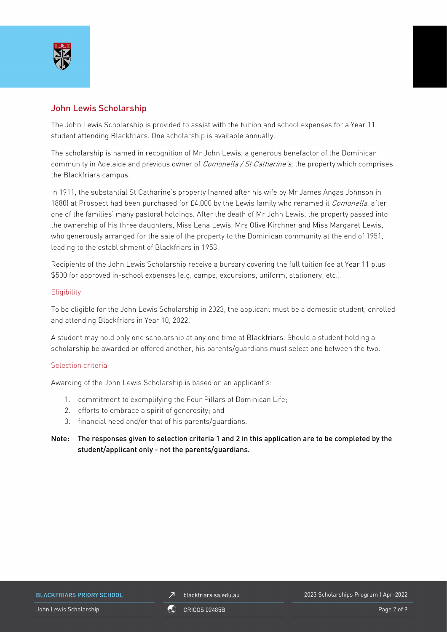

# John Lewis Scholarship

The John Lewis Scholarship is provided to assist with the tuition and school expenses for a Year 11 student attending Blackfriars. One scholarship is available annually.

The scholarship is named in recognition of Mr John Lewis, a generous benefactor of the Dominican community in Adelaide and previous owner of *Comonella / St Catharine's*, the property which comprises the Blackfriars campus.

In 1911, the substantial St Catharine's property (named after his wife by Mr James Angas Johnson in 1880) at Prospect had been purchased for £4,000 by the Lewis family who renamed it *Comonella*, after one of the families' many pastoral holdings. After the death of Mr John Lewis, the property passed into the ownership of his three daughters, Miss Lena Lewis, Mrs Olive Kirchner and Miss Margaret Lewis, who generously arranged for the sale of the property to the Dominican community at the end of 1951, leading to the establishment of Blackfriars in 1953.

Recipients of the John Lewis Scholarship receive a bursary covering the full tuition fee at Year 11 plus \$500 for approved in-school expenses (e.g. camps, excursions, uniform, stationery, etc.).

### **Eligibility**

To be eligible for the John Lewis Scholarship in 2023, the applicant must be a domestic student, enrolled and attending Blackfriars in Year 10, 2022.

A student may hold only one scholarship at any one time at Blackfriars. Should a student holding a scholarship be awarded or offered another, his parents/guardians must select one between the two.

### Selection criteria

Awarding of the John Lewis Scholarship is based on an applicant's:

- 1. commitment to exemplifying the Four Pillars of Dominican Life;
- 2. efforts to embrace a spirit of generosity; and
- 3. financial need and/or that of his parents/guardians.
- Note: The responses given to selection criteria 1 and 2 in this application are to be completed by the student/applicant only - not the parents/guardians.

**BLACKFRIARS PRIORY SCHOOL** 

blackfriars.sa.edu.au  $\overline{\mathbf{z}}$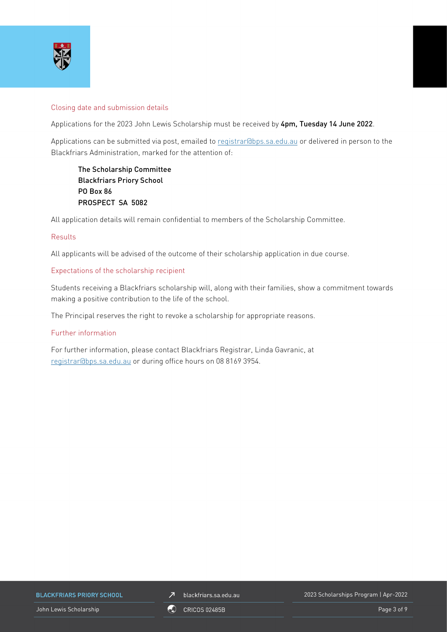

### Closing date and submission details

Applications for the 2023 John Lewis Scholarship must be received by 4pm, Tuesday 14 June 2022.

Applications can be submitted via post, emailed to [registrar@bps.sa.edu.au](mailto:registrar@bps.sa.edu.au) or delivered in person to the Blackfriars Administration, marked for the attention of:

The Scholarship Committee Blackfriars Priory School PO Box 86 PROSPECT SA 5082

All application details will remain confidential to members of the Scholarship Committee.

### Results

All applicants will be advised of the outcome of their scholarship application in due course.

#### Expectations of the scholarship recipient

Students receiving a Blackfriars scholarship will, along with their families, show a commitment towards making a positive contribution to the life of the school.

The Principal reserves the right to revoke a scholarship for appropriate reasons.

### Further information

For further information, please contact Blackfriars Registrar, Linda Gavranic, at [registrar@bps.sa.edu.au](mailto:registrar@bps.sa.edu.au) or during office hours on 08 8169 3954.

**BLACKFRIARS PRIORY SCHOOL** 

 $\n *J*\n blackfriars.sa.edu.au\n$ 

2023 Scholarships Program | Apr-2022

John Lewis Scholarship Page 3 of 9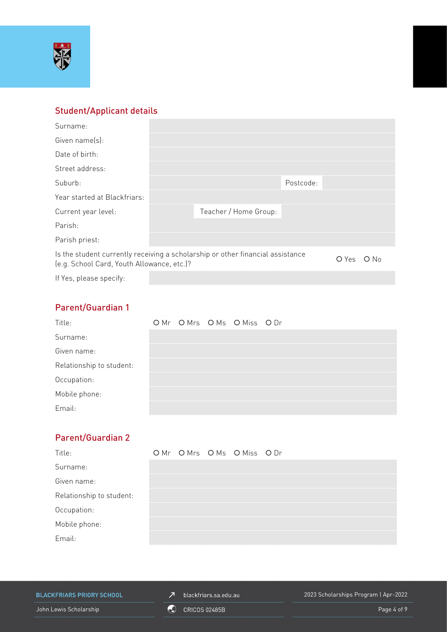

# Student/Applicant details

| Surname:                                                                                                                     |  |                       |           |  |        |
|------------------------------------------------------------------------------------------------------------------------------|--|-----------------------|-----------|--|--------|
| Given name(s):                                                                                                               |  |                       |           |  |        |
| Date of birth:                                                                                                               |  |                       |           |  |        |
| Street address:                                                                                                              |  |                       |           |  |        |
| Suburb:                                                                                                                      |  |                       | Postcode: |  |        |
| Year started at Blackfriars:                                                                                                 |  |                       |           |  |        |
| Current year level:                                                                                                          |  | Teacher / Home Group: |           |  |        |
| Parish:                                                                                                                      |  |                       |           |  |        |
| Parish priest:                                                                                                               |  |                       |           |  |        |
| Is the student currently receiving a scholarship or other financial assistance<br>(e.g. School Card, Youth Allowance, etc.)? |  |                       |           |  | $O$ No |
| If Yes, please specify:                                                                                                      |  |                       |           |  |        |

# Parent/Guardian 1

| Title:                   |  | OMr OMrs OMs OMiss ODr |  |
|--------------------------|--|------------------------|--|
| Surname:                 |  |                        |  |
| Given name:              |  |                        |  |
| Relationship to student: |  |                        |  |
| Occupation:              |  |                        |  |
| Mobile phone:            |  |                        |  |
| Email:                   |  |                        |  |

# Parent/Guardian 2

| Title:                   |  | OMr OMrs OMs OMiss ODr |  |
|--------------------------|--|------------------------|--|
| Surname:                 |  |                        |  |
| Given name:              |  |                        |  |
| Relationship to student: |  |                        |  |
| Occupation:              |  |                        |  |
| Mobile phone:            |  |                        |  |
| Email:                   |  |                        |  |

**BLACKFRIARS PRIORY SCHOOL** 

 $\n *J*\n blackfriars.sa.edu.au\n$ 

2023 Scholarships Program | Apr-2022

John Lewis Scholarship **Contract Contract Contract Contract Contract Contract Contract Contract Contract Contract Contract Contract Contract Contract Contract Contract Contract Contract Contract Contract Contract Contract**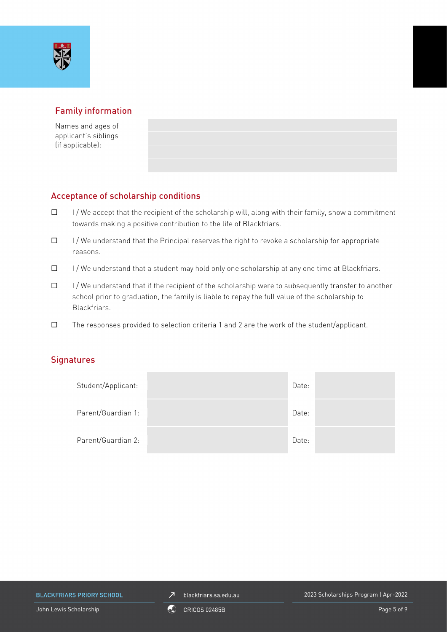

# Family information

Names and ages of applicant's siblings (if applicable):

# Acceptance of scholarship conditions

- $\Box$  I/We accept that the recipient of the scholarship will, along with their family, show a commitment towards making a positive contribution to the life of Blackfriars.
- $\Box$  I/We understand that the Principal reserves the right to revoke a scholarship for appropriate reasons.
- $\Box$  I/We understand that a student may hold only one scholarship at any one time at Blackfriars.
- $\Box$  I/We understand that if the recipient of the scholarship were to subsequently transfer to another school prior to graduation, the family is liable to repay the full value of the scholarship to Blackfriars.
- $\square$  The responses provided to selection criteria 1 and 2 are the work of the student/applicant.

### **Signatures**

| Student/Applicant: | Date: |  |
|--------------------|-------|--|
| Parent/Guardian 1: | Date: |  |
| Parent/Guardian 2: | Date: |  |

**BLACKFRIARS PRIORY SCHOOL** 

 $\n *J*\n blackfriars.sa.edu.au\n$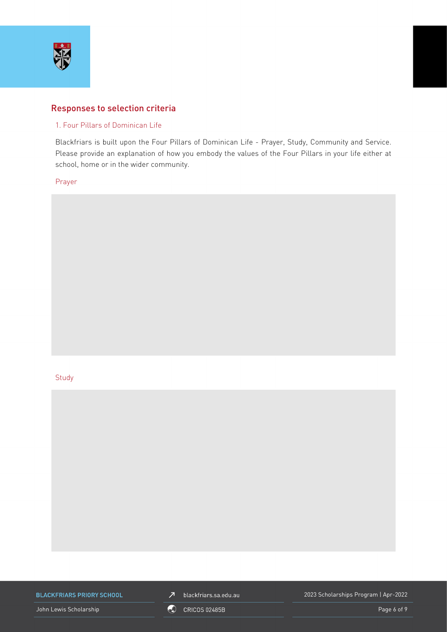

### Responses to selection criteria

### 1. Four Pillars of Dominican Life

Blackfriars is built upon the Four Pillars of Dominican Life - Prayer, Study, Community and Service. Please provide an explanation of how you embody the values of the Four Pillars in your life either at school, home or in the wider community.

Prayer

#### **Study**



**BLACKFRIARS PRIORY SCHOOL** 

John Lewis Scholarship **Contract Contract Contract Contract Contract Contract Contract Contract Contract Contract Contract Contract Contract Contract Contract Contract Contract Contract Contract Contract Contract Contract** 

 $\n *J*\n blackfriars.sa.edu.au\n$ 

2023 Scholarships Program | Apr-2022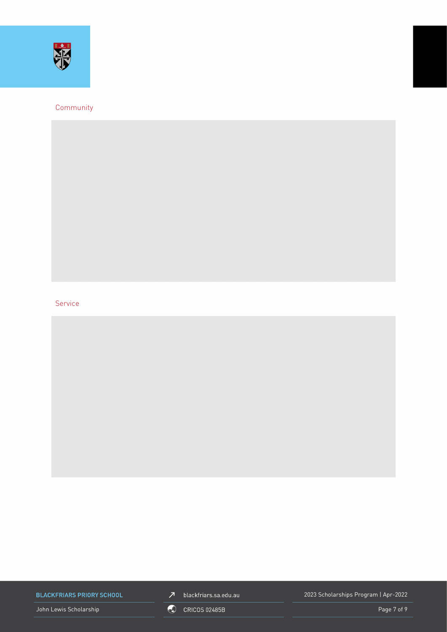

### Community

### Service

**BLACKFRIARS PRIORY SCHOOL** 

John Lewis Scholarship **Contract Contract Contract Contract Contract Contract Contract Contract Contract Contract Contract Contract Contract Contract Contract Contract Contract Contract Contract Contract Contract Contract** 



2023 Scholarships Program | Apr-2022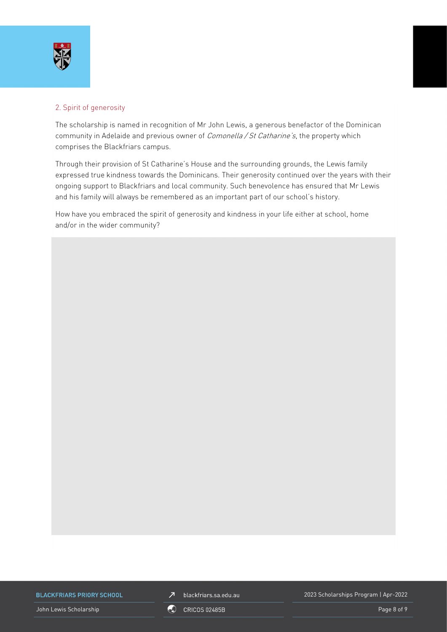

### 2. Spirit of generosity

The scholarship is named in recognition of Mr John Lewis, a generous benefactor of the Dominican community in Adelaide and previous owner of *Comonella / St Catharine's*, the property which comprises the Blackfriars campus.

Through their provision of St Catharine's House and the surrounding grounds, the Lewis family expressed true kindness towards the Dominicans. Their generosity continued over the years with their ongoing support to Blackfriars and local community. Such benevolence has ensured that Mr Lewis and his family will always be remembered as an important part of our school's history.

How have you embraced the spirit of generosity and kindness in your life either at school, home and/or in the wider community?

**BLACKFRIARS PRIORY SCHOOL** 

John Lewis Scholarship **Page 8 of 9** CRICOS 02485B COMPUTER CONTROL INC. The Page 8 of 9

 $Z$  blackfriars.sa.edu.au

2023 Scholarships Program | Apr-2022